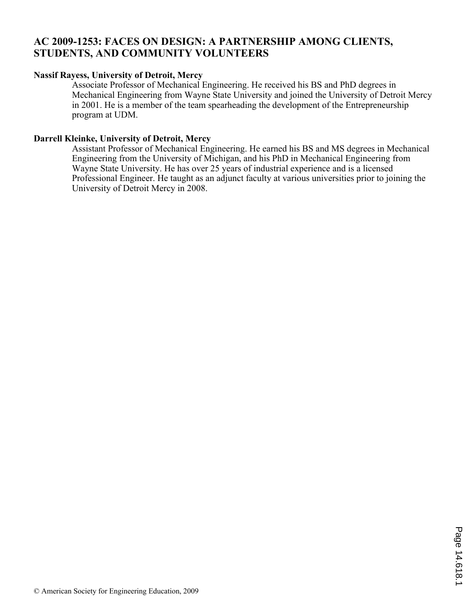# **AC 2009-1253: FACES ON DESIGN: A PARTNERSHIP AMONG CLIENTS, STUDENTS, AND COMMUNITY VOLUNTEERS**

#### **Nassif Rayess, University of Detroit, Mercy**

Associate Professor of Mechanical Engineering. He received his BS and PhD degrees in Mechanical Engineering from Wayne State University and joined the University of Detroit Mercy in 2001. He is a member of the team spearheading the development of the Entrepreneurship program at UDM.

#### **Darrell Kleinke, University of Detroit, Mercy**

Assistant Professor of Mechanical Engineering. He earned his BS and MS degrees in Mechanical Engineering from the University of Michigan, and his PhD in Mechanical Engineering from Wayne State University. He has over 25 years of industrial experience and is a licensed Professional Engineer. He taught as an adjunct faculty at various universities prior to joining the University of Detroit Mercy in 2008.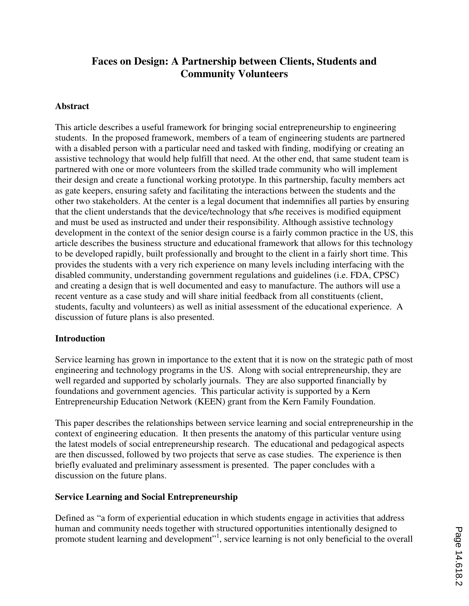# **Faces on Design: A Partnership between Clients, Students and Community Volunteers**

#### **Abstract**

This article describes a useful framework for bringing social entrepreneurship to engineering students. In the proposed framework, members of a team of engineering students are partnered with a disabled person with a particular need and tasked with finding, modifying or creating an assistive technology that would help fulfill that need. At the other end, that same student team is partnered with one or more volunteers from the skilled trade community who will implement their design and create a functional working prototype. In this partnership, faculty members act as gate keepers, ensuring safety and facilitating the interactions between the students and the other two stakeholders. At the center is a legal document that indemnifies all parties by ensuring that the client understands that the device/technology that s/he receives is modified equipment and must be used as instructed and under their responsibility. Although assistive technology development in the context of the senior design course is a fairly common practice in the US, this article describes the business structure and educational framework that allows for this technology to be developed rapidly, built professionally and brought to the client in a fairly short time. This provides the students with a very rich experience on many levels including interfacing with the disabled community, understanding government regulations and guidelines (i.e. FDA, CPSC) and creating a design that is well documented and easy to manufacture. The authors will use a recent venture as a case study and will share initial feedback from all constituents (client, students, faculty and volunteers) as well as initial assessment of the educational experience. A discussion of future plans is also presented.

#### **Introduction**

Service learning has grown in importance to the extent that it is now on the strategic path of most engineering and technology programs in the US. Along with social entrepreneurship, they are well regarded and supported by scholarly journals. They are also supported financially by foundations and government agencies. This particular activity is supported by a Kern Entrepreneurship Education Network (KEEN) grant from the Kern Family Foundation.

This paper describes the relationships between service learning and social entrepreneurship in the context of engineering education. It then presents the anatomy of this particular venture using the latest models of social entrepreneurship research. The educational and pedagogical aspects are then discussed, followed by two projects that serve as case studies. The experience is then briefly evaluated and preliminary assessment is presented. The paper concludes with a discussion on the future plans.

### **Service Learning and Social Entrepreneurship**

Defined as "a form of experiential education in which students engage in activities that address human and community needs together with structured opportunities intentionally designed to promote student learning and development"<sup>1</sup>, service learning is not only beneficial to the overall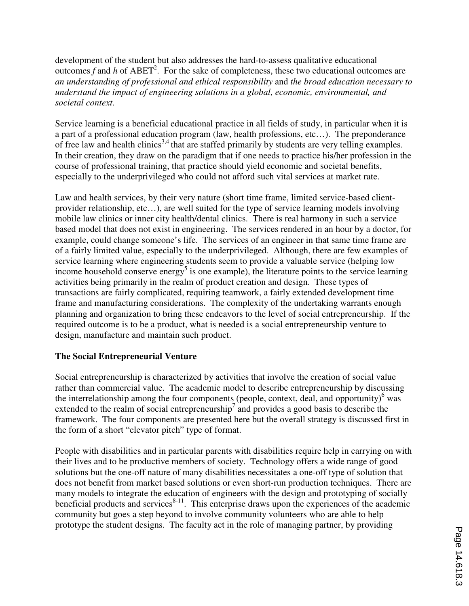development of the student but also addresses the hard-to-assess qualitative educational outcomes  $f$  and  $h$  of ABET<sup>2</sup>. For the sake of completeness, these two educational outcomes are *an understanding of professional and ethical responsibility* and *the broad education necessary to understand the impact of engineering solutions in a global, economic, environmental, and societal context*.

Service learning is a beneficial educational practice in all fields of study, in particular when it is a part of a professional education program (law, health professions, etc…). The preponderance of free law and health clinics<sup>3,4</sup> that are staffed primarily by students are very telling examples. In their creation, they draw on the paradigm that if one needs to practice his/her profession in the course of professional training, that practice should yield economic and societal benefits, especially to the underprivileged who could not afford such vital services at market rate.

Law and health services, by their very nature (short time frame, limited service-based clientprovider relationship, etc…), are well suited for the type of service learning models involving mobile law clinics or inner city health/dental clinics. There is real harmony in such a service based model that does not exist in engineering. The services rendered in an hour by a doctor, for example, could change someone's life. The services of an engineer in that same time frame are of a fairly limited value, especially to the underprivileged. Although, there are few examples of service learning where engineering students seem to provide a valuable service (helping low income household conserve energy<sup>5</sup> is one example), the literature points to the service learning activities being primarily in the realm of product creation and design. These types of transactions are fairly complicated, requiring teamwork, a fairly extended development time frame and manufacturing considerations. The complexity of the undertaking warrants enough planning and organization to bring these endeavors to the level of social entrepreneurship. If the required outcome is to be a product, what is needed is a social entrepreneurship venture to design, manufacture and maintain such product.

### **The Social Entrepreneurial Venture**

Social entrepreneurship is characterized by activities that involve the creation of social value rather than commercial value. The academic model to describe entrepreneurship by discussing the interrelationship among the four components (people, context, deal, and opportunity)<sup>6</sup> was extended to the realm of social entrepreneurship<sup>7</sup> and provides a good basis to describe the framework. The four components are presented here but the overall strategy is discussed first in the form of a short "elevator pitch" type of format.

People with disabilities and in particular parents with disabilities require help in carrying on with their lives and to be productive members of society. Technology offers a wide range of good solutions but the one-off nature of many disabilities necessitates a one-off type of solution that does not benefit from market based solutions or even short-run production techniques. There are many models to integrate the education of engineers with the design and prototyping of socially beneficial products and services $8-11$ . This enterprise draws upon the experiences of the academic community but goes a step beyond to involve community volunteers who are able to help prototype the student designs. The faculty act in the role of managing partner, by providing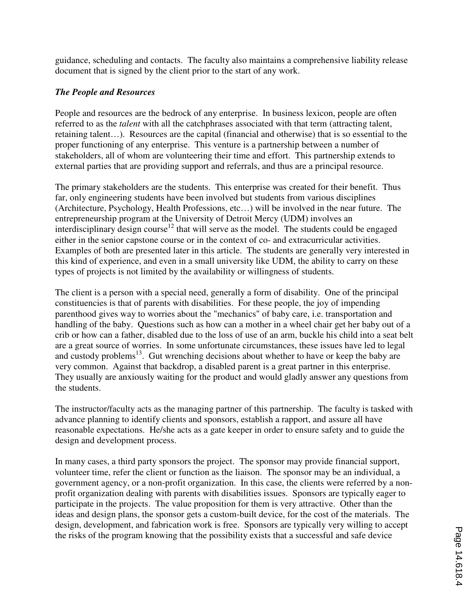guidance, scheduling and contacts. The faculty also maintains a comprehensive liability release document that is signed by the client prior to the start of any work.

## *The People and Resources*

People and resources are the bedrock of any enterprise. In business lexicon, people are often referred to as the *talent* with all the catchphrases associated with that term (attracting talent, retaining talent…). Resources are the capital (financial and otherwise) that is so essential to the proper functioning of any enterprise. This venture is a partnership between a number of stakeholders, all of whom are volunteering their time and effort. This partnership extends to external parties that are providing support and referrals, and thus are a principal resource.

The primary stakeholders are the students. This enterprise was created for their benefit. Thus far, only engineering students have been involved but students from various disciplines (Architecture, Psychology, Health Professions, etc…) will be involved in the near future. The entrepreneurship program at the University of Detroit Mercy (UDM) involves an interdisciplinary design course<sup>12</sup> that will serve as the model. The students could be engaged either in the senior capstone course or in the context of co- and extracurricular activities. Examples of both are presented later in this article. The students are generally very interested in this kind of experience, and even in a small university like UDM, the ability to carry on these types of projects is not limited by the availability or willingness of students.

The client is a person with a special need, generally a form of disability. One of the principal constituencies is that of parents with disabilities. For these people, the joy of impending parenthood gives way to worries about the "mechanics" of baby care, i.e. transportation and handling of the baby. Questions such as how can a mother in a wheel chair get her baby out of a crib or how can a father, disabled due to the loss of use of an arm, buckle his child into a seat belt are a great source of worries. In some unfortunate circumstances, these issues have led to legal and custody problems<sup>13</sup>. Gut wrenching decisions about whether to have or keep the baby are very common. Against that backdrop, a disabled parent is a great partner in this enterprise. They usually are anxiously waiting for the product and would gladly answer any questions from the students.

The instructor/faculty acts as the managing partner of this partnership. The faculty is tasked with advance planning to identify clients and sponsors, establish a rapport, and assure all have reasonable expectations. He/she acts as a gate keeper in order to ensure safety and to guide the design and development process.

In many cases, a third party sponsors the project. The sponsor may provide financial support, volunteer time, refer the client or function as the liaison. The sponsor may be an individual, a government agency, or a non-profit organization. In this case, the clients were referred by a nonprofit organization dealing with parents with disabilities issues. Sponsors are typically eager to participate in the projects. The value proposition for them is very attractive. Other than the ideas and design plans, the sponsor gets a custom-built device, for the cost of the materials. The design, development, and fabrication work is free. Sponsors are typically very willing to accept the risks of the program knowing that the possibility exists that a successful and safe device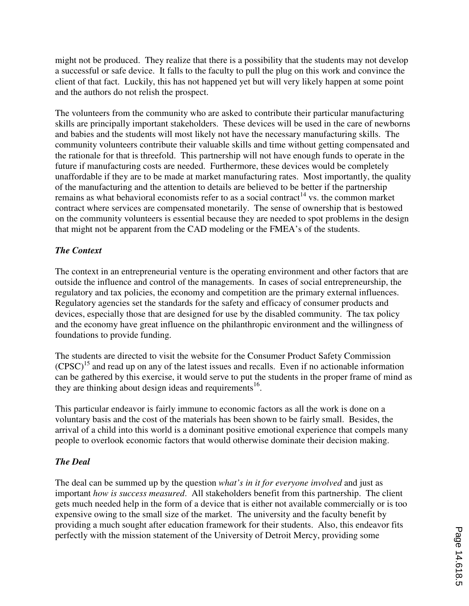might not be produced. They realize that there is a possibility that the students may not develop a successful or safe device. It falls to the faculty to pull the plug on this work and convince the client of that fact. Luckily, this has not happened yet but will very likely happen at some point and the authors do not relish the prospect.

The volunteers from the community who are asked to contribute their particular manufacturing skills are principally important stakeholders. These devices will be used in the care of newborns and babies and the students will most likely not have the necessary manufacturing skills. The community volunteers contribute their valuable skills and time without getting compensated and the rationale for that is threefold. This partnership will not have enough funds to operate in the future if manufacturing costs are needed. Furthermore, these devices would be completely unaffordable if they are to be made at market manufacturing rates. Most importantly, the quality of the manufacturing and the attention to details are believed to be better if the partnership remains as what behavioral economists refer to as a social contract<sup>14</sup> vs. the common market contract where services are compensated monetarily. The sense of ownership that is bestowed on the community volunteers is essential because they are needed to spot problems in the design that might not be apparent from the CAD modeling or the FMEA's of the students.

### *The Context*

The context in an entrepreneurial venture is the operating environment and other factors that are outside the influence and control of the managements. In cases of social entrepreneurship, the regulatory and tax policies, the economy and competition are the primary external influences. Regulatory agencies set the standards for the safety and efficacy of consumer products and devices, especially those that are designed for use by the disabled community. The tax policy and the economy have great influence on the philanthropic environment and the willingness of foundations to provide funding.

The students are directed to visit the website for the Consumer Product Safety Commission  $(CPSC)^{15}$  and read up on any of the latest issues and recalls. Even if no actionable information can be gathered by this exercise, it would serve to put the students in the proper frame of mind as they are thinking about design ideas and requirements<sup>16</sup>.

This particular endeavor is fairly immune to economic factors as all the work is done on a voluntary basis and the cost of the materials has been shown to be fairly small. Besides, the arrival of a child into this world is a dominant positive emotional experience that compels many people to overlook economic factors that would otherwise dominate their decision making.

### *The Deal*

The deal can be summed up by the question *what's in it for everyone involved* and just as important *how is success measured*. All stakeholders benefit from this partnership. The client gets much needed help in the form of a device that is either not available commercially or is too expensive owing to the small size of the market. The university and the faculty benefit by providing a much sought after education framework for their students. Also, this endeavor fits perfectly with the mission statement of the University of Detroit Mercy, providing some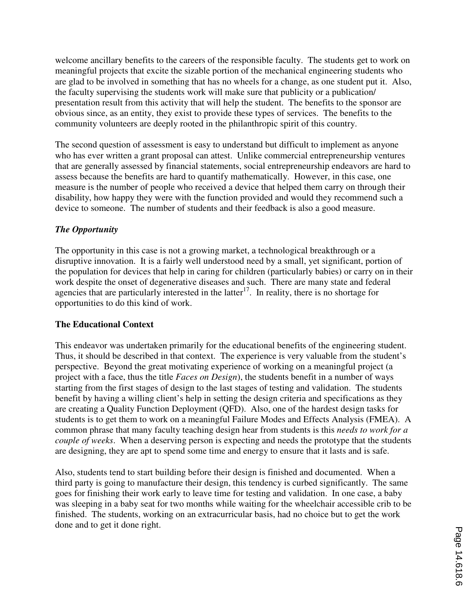welcome ancillary benefits to the careers of the responsible faculty. The students get to work on meaningful projects that excite the sizable portion of the mechanical engineering students who are glad to be involved in something that has no wheels for a change, as one student put it. Also, the faculty supervising the students work will make sure that publicity or a publication/ presentation result from this activity that will help the student. The benefits to the sponsor are obvious since, as an entity, they exist to provide these types of services. The benefits to the community volunteers are deeply rooted in the philanthropic spirit of this country.

The second question of assessment is easy to understand but difficult to implement as anyone who has ever written a grant proposal can attest. Unlike commercial entrepreneurship ventures that are generally assessed by financial statements, social entrepreneurship endeavors are hard to assess because the benefits are hard to quantify mathematically. However, in this case, one measure is the number of people who received a device that helped them carry on through their disability, how happy they were with the function provided and would they recommend such a device to someone. The number of students and their feedback is also a good measure.

## *The Opportunity*

The opportunity in this case is not a growing market, a technological breakthrough or a disruptive innovation. It is a fairly well understood need by a small, yet significant, portion of the population for devices that help in caring for children (particularly babies) or carry on in their work despite the onset of degenerative diseases and such. There are many state and federal agencies that are particularly interested in the latter<sup>17</sup>. In reality, there is no shortage for opportunities to do this kind of work.

### **The Educational Context**

This endeavor was undertaken primarily for the educational benefits of the engineering student. Thus, it should be described in that context. The experience is very valuable from the student's perspective. Beyond the great motivating experience of working on a meaningful project (a project with a face, thus the title *Faces on Design*), the students benefit in a number of ways starting from the first stages of design to the last stages of testing and validation. The students benefit by having a willing client's help in setting the design criteria and specifications as they are creating a Quality Function Deployment (QFD). Also, one of the hardest design tasks for students is to get them to work on a meaningful Failure Modes and Effects Analysis (FMEA). A common phrase that many faculty teaching design hear from students is this *needs to work for a couple of weeks*. When a deserving person is expecting and needs the prototype that the students are designing, they are apt to spend some time and energy to ensure that it lasts and is safe.

Also, students tend to start building before their design is finished and documented. When a third party is going to manufacture their design, this tendency is curbed significantly. The same goes for finishing their work early to leave time for testing and validation. In one case, a baby was sleeping in a baby seat for two months while waiting for the wheelchair accessible crib to be finished. The students, working on an extracurricular basis, had no choice but to get the work done and to get it done right.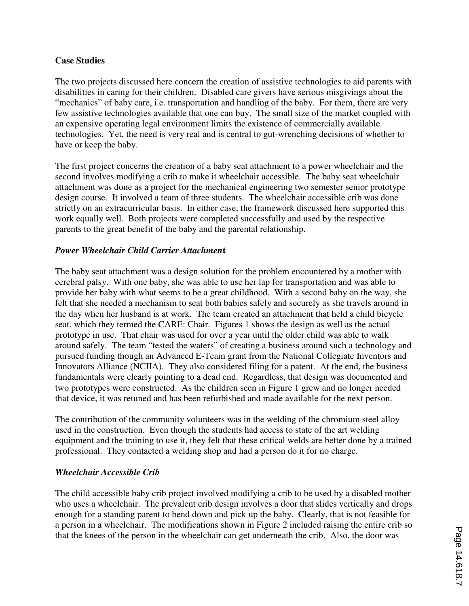### **Case Studies**

The two projects discussed here concern the creation of assistive technologies to aid parents with disabilities in caring for their children. Disabled care givers have serious misgivings about the "mechanics" of baby care, i.e. transportation and handling of the baby. For them, there are very few assistive technologies available that one can buy. The small size of the market coupled with an expensive operating legal environment limits the existence of commercially available technologies. Yet, the need is very real and is central to gut-wrenching decisions of whether to have or keep the baby.

The first project concerns the creation of a baby seat attachment to a power wheelchair and the second involves modifying a crib to make it wheelchair accessible. The baby seat wheelchair attachment was done as a project for the mechanical engineering two semester senior prototype design course. It involved a team of three students. The wheelchair accessible crib was done strictly on an extracurricular basis. In either case, the framework discussed here supported this work equally well. Both projects were completed successfully and used by the respective parents to the great benefit of the baby and the parental relationship.

### *Power Wheelchair Child Carrier Attachmen***t**

The baby seat attachment was a design solution for the problem encountered by a mother with cerebral palsy. With one baby, she was able to use her lap for transportation and was able to provide her baby with what seems to be a great childhood. With a second baby on the way, she felt that she needed a mechanism to seat both babies safely and securely as she travels around in the day when her husband is at work. The team created an attachment that held a child bicycle seat, which they termed the CARE: Chair. Figures 1 shows the design as well as the actual prototype in use. That chair was used for over a year until the older child was able to walk around safely. The team "tested the waters" of creating a business around such a technology and pursued funding though an Advanced E-Team grant from the National Collegiate Inventors and Innovators Alliance (NCIIA). They also considered filing for a patent. At the end, the business fundamentals were clearly pointing to a dead end. Regardless, that design was documented and two prototypes were constructed. As the children seen in Figure 1 grew and no longer needed that device, it was retuned and has been refurbished and made available for the next person.

The contribution of the community volunteers was in the welding of the chromium steel alloy used in the construction. Even though the students had access to state of the art welding equipment and the training to use it, they felt that these critical welds are better done by a trained professional. They contacted a welding shop and had a person do it for no charge.

#### *Wheelchair Accessible Crib*

The child accessible baby crib project involved modifying a crib to be used by a disabled mother who uses a wheelchair. The prevalent crib design involves a door that slides vertically and drops enough for a standing parent to bend down and pick up the baby. Clearly, that is not feasible for a person in a wheelchair. The modifications shown in Figure 2 included raising the entire crib so that the knees of the person in the wheelchair can get underneath the crib. Also, the door was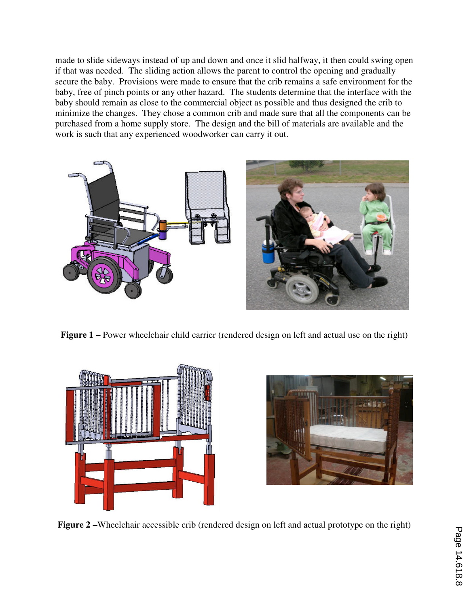made to slide sideways instead of up and down and once it slid halfway, it then could swing open if that was needed. The sliding action allows the parent to control the opening and gradually secure the baby. Provisions were made to ensure that the crib remains a safe environment for the baby, free of pinch points or any other hazard. The students determine that the interface with the baby should remain as close to the commercial object as possible and thus designed the crib to minimize the changes. They chose a common crib and made sure that all the components can be purchased from a home supply store. The design and the bill of materials are available and the work is such that any experienced woodworker can carry it out.



**Figure 1 –** Power wheelchair child carrier (rendered design on left and actual use on the right)





**Figure 2 –**Wheelchair accessible crib (rendered design on left and actual prototype on the right)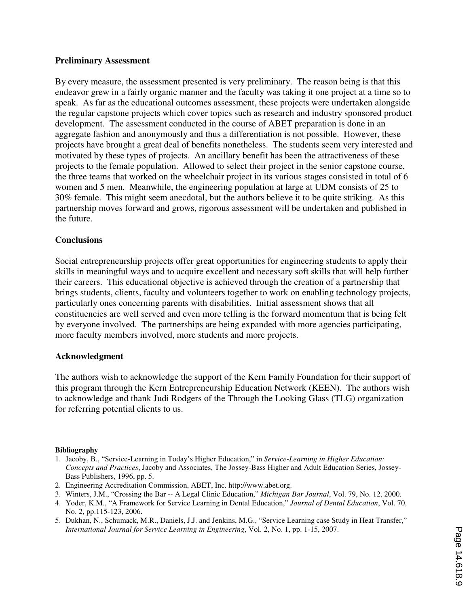#### **Preliminary Assessment**

By every measure, the assessment presented is very preliminary. The reason being is that this endeavor grew in a fairly organic manner and the faculty was taking it one project at a time so to speak. As far as the educational outcomes assessment, these projects were undertaken alongside the regular capstone projects which cover topics such as research and industry sponsored product development. The assessment conducted in the course of ABET preparation is done in an aggregate fashion and anonymously and thus a differentiation is not possible. However, these projects have brought a great deal of benefits nonetheless. The students seem very interested and motivated by these types of projects. An ancillary benefit has been the attractiveness of these projects to the female population. Allowed to select their project in the senior capstone course, the three teams that worked on the wheelchair project in its various stages consisted in total of 6 women and 5 men. Meanwhile, the engineering population at large at UDM consists of 25 to 30% female. This might seem anecdotal, but the authors believe it to be quite striking. As this partnership moves forward and grows, rigorous assessment will be undertaken and published in the future.

#### **Conclusions**

Social entrepreneurship projects offer great opportunities for engineering students to apply their skills in meaningful ways and to acquire excellent and necessary soft skills that will help further their careers. This educational objective is achieved through the creation of a partnership that brings students, clients, faculty and volunteers together to work on enabling technology projects, particularly ones concerning parents with disabilities. Initial assessment shows that all constituencies are well served and even more telling is the forward momentum that is being felt by everyone involved. The partnerships are being expanded with more agencies participating, more faculty members involved, more students and more projects.

#### **Acknowledgment**

The authors wish to acknowledge the support of the Kern Family Foundation for their support of this program through the Kern Entrepreneurship Education Network (KEEN). The authors wish to acknowledge and thank Judi Rodgers of the Through the Looking Glass (TLG) organization for referring potential clients to us.

#### **Bibliography**

- 1. Jacoby, B., "Service-Learning in Today's Higher Education," in *Service-Learning in Higher Education: Concepts and Practices*, Jacoby and Associates, The Jossey-Bass Higher and Adult Education Series, Jossey-Bass Publishers, 1996, pp. 5.
- 2. Engineering Accreditation Commission, ABET, Inc. http://www.abet.org.
- 3. Winters, J.M., "Crossing the Bar -- A Legal Clinic Education," *Michigan Bar Journal*, Vol. 79, No. 12, 2000.
- 4. Yoder, K.M., "A Framework for Service Learning in Dental Education," *Journal of Dental Education*, Vol. 70, No. 2, pp.115-123, 2006.
- 5. Dukhan, N., Schumack, M.R., Daniels, J.J. and Jenkins, M.G., "Service Learning case Study in Heat Transfer," *International Journal for Service Learning in Engineering*, Vol. 2, No. 1, pp. 1-15, 2007.